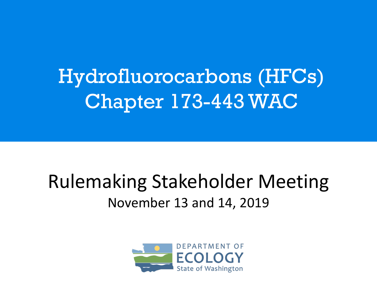Hydrofluorocarbons (HFCs) Chapter 173-443 WAC

#### Rulemaking Stakeholder Meeting November 13 and 14, 2019

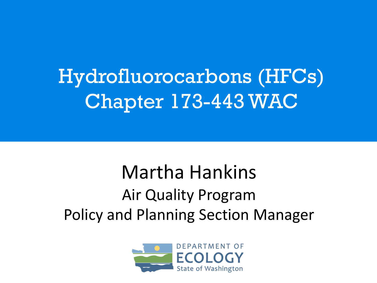# Hydrofluorocarbons (HFCs) Chapter 173-443 WAC

### Martha Hankins Air Quality Program Policy and Planning Section Manager

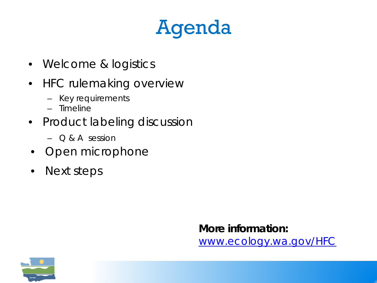# Agenda

- Welcome & logistics
- HFC rulemaking overview
	- Key requirements
	- Timeline
- Product labeling discussion
	- $\bigcirc$  & A session
- Open microphone
- Next steps

**More information:**  [www.ecology.wa.gov/HFC](http://www.ecology.wa.gov/HFC)

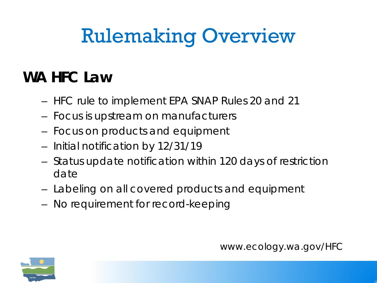# Rulemaking Overview

#### **WA HFC Law**

- HFC rule to implement EPA SNAP Rules 20 and 21
- Focus is upstream on manufacturers
- Focus on products and equipment
- Initial notification by 12/31/19
- Status update notification within 120 days of restriction date
- Labeling on all covered products and equipment
- No requirement for record-keeping

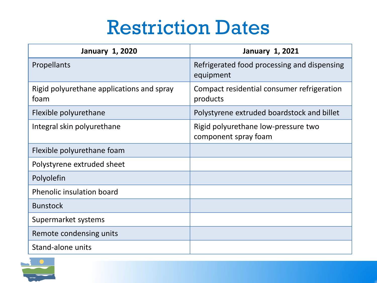## Restriction Dates

| <b>January 1, 2020</b>                            | <b>January 1, 2021</b>                                      |
|---------------------------------------------------|-------------------------------------------------------------|
| Propellants                                       | Refrigerated food processing and dispensing<br>equipment    |
| Rigid polyurethane applications and spray<br>foam | Compact residential consumer refrigeration<br>products      |
| Flexible polyurethane                             | Polystyrene extruded boardstock and billet                  |
| Integral skin polyurethane                        | Rigid polyurethane low-pressure two<br>component spray foam |
| Flexible polyurethane foam                        |                                                             |
| Polystyrene extruded sheet                        |                                                             |
| Polyolefin                                        |                                                             |
| <b>Phenolic insulation board</b>                  |                                                             |
| <b>Bunstock</b>                                   |                                                             |
| Supermarket systems                               |                                                             |
| Remote condensing units                           |                                                             |
| Stand-alone units                                 |                                                             |

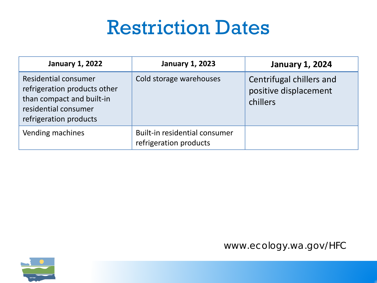## Restriction Dates

| <b>January 1, 2022</b>                                                                                                              | <b>January 1, 2023</b>                                  | <b>January 1, 2024</b>                                        |
|-------------------------------------------------------------------------------------------------------------------------------------|---------------------------------------------------------|---------------------------------------------------------------|
| Residential consumer<br>refrigeration products other<br>than compact and built-in<br>residential consumer<br>refrigeration products | Cold storage warehouses                                 | Centrifugal chillers and<br>positive displacement<br>chillers |
| Vending machines                                                                                                                    | Built-in residential consumer<br>refrigeration products |                                                               |



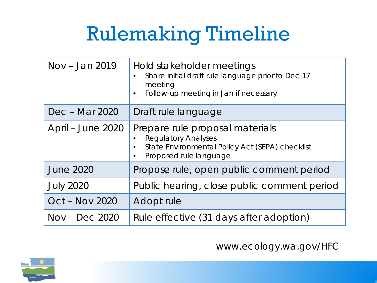# Rulemaking Timeline

| Nov – Jan 2019    | Hold stakeholder meetings<br>Share initial draft rule language prior to Dec 17<br>meeting<br>Follow-up meeting in Jan if necessary<br>$\bullet$         |
|-------------------|---------------------------------------------------------------------------------------------------------------------------------------------------------|
| Dec - Mar 2020    | Draft rule language                                                                                                                                     |
| April – June 2020 | Prepare rule proposal materials<br><b>Regulatory Analyses</b><br>State Environmental Policy Act (SEPA) checklist<br>Proposed rule language<br>$\bullet$ |
| <b>June 2020</b>  | Propose rule, open public comment period                                                                                                                |
| <b>July 2020</b>  | Public hearing, close public comment period                                                                                                             |
| Oct - Nov 2020    | Adopt rule                                                                                                                                              |
| $Nov - Dec 2020$  | Rule effective (31 days after adoption)                                                                                                                 |

www.ecology.wa.gov/HFC

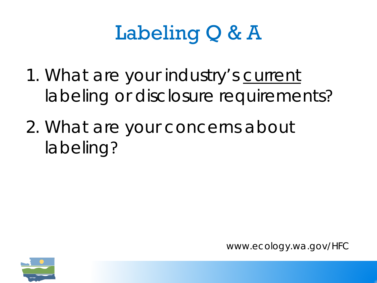# Labeling Q & A

- 1. What are your industry's current labeling or disclosure requirements?
- 2. What are your concerns about labeling?

www.ecology.wa.gov/HFC

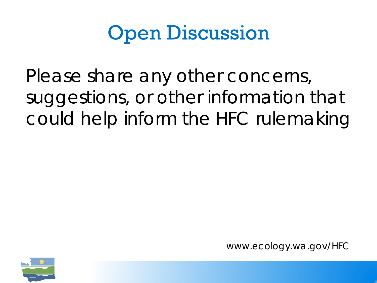## Open Discussion

Please share any other concerns, suggestions, or other information that could help inform the HFC rulemaking

www.ecology.wa.gov/HFC

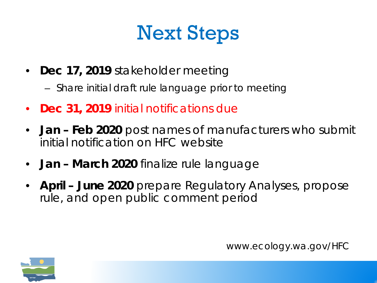# Next Steps

- **Dec 17, 2019** stakeholder meeting
	- Share initial draft rule language prior to meeting
- **Dec 31, 2019** initial notifications due
- **Jan – Feb 2020** post names of manufacturers who submit initial notification on HFC website
- **Jan – March 2020** finalize rule language
- **April – June 2020** prepare Regulatory Analyses, propose rule, and open public comment period